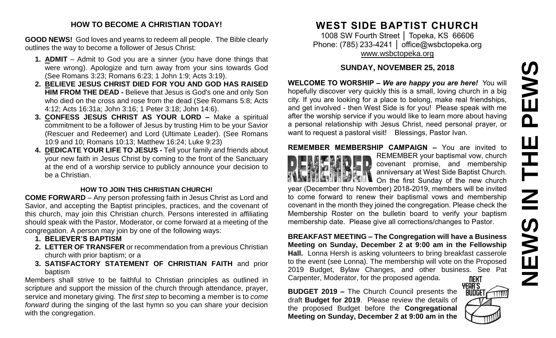# PEWS **NEWS IN THE PEWS**Ш **HH N SMENS**

#### **HOW TO BECOME A CHRISTIAN TODAY!**

**GOOD NEWS!** God loves and yearns to redeem all people. The Bible clearly outlines the way to become a follower of Jesus Christ:

- **1. ADMIT** Admit to God you are a sinner (you have done things that were wrong). Apologize and turn away from your sins towards God (See Romans 3:23; Romans 6:23; 1 John 1:9; Acts 3:19).
- **2. BELIEVE JESUS CHRIST DIED FOR YOU AND GOD HAS RAISED HIM FROM THE DEAD -** Believe that Jesus is God's one and only Son who died on the cross and rose from the dead (See Romans 5:8; Acts 4:12; Acts 16:31a; John 3:16; 1 Peter 3:18; John 14:6).
- **3. CONFESS JESUS CHRIST AS YOUR LORD –** Make a spiritual commitment to be a follower of Jesus by trusting Him to be your Savior (Rescuer and Redeemer) and Lord (Ultimate Leader). (See Romans 10:9 and 10; Romans 10:13; Matthew 16:24; Luke 9:23)
- **4. DEDICATE YOUR LIFE TO JESUS -** Tell your family and friends about your new faith in Jesus Christ by coming to the front of the Sanctuary at the end of a worship service to publicly announce your decision to be a Christian.

#### **HOW TO JOIN THIS CHRISTIAN CHURCH!**

**COME FORWARD** – Any person professing faith in Jesus Christ as Lord and Savior, and accepting the Baptist principles, practices, and the covenant of this church, may join this Christian church. Persons interested in affiliating should speak with the Pastor, Moderator, or come forward at a meeting of the congregation. A person may join by one of the following ways:

- **1. BELIEVER'S BAPTISM**
- **2. LETTER OF TRANSFER** or recommendation from a previous Christian church with prior baptism; or a
- **3. SATISFACTORY STATEMENT OF CHRISTIAN FAITH** and prior baptism

Members shall strive to be faithful to Christian principles as outlined in scripture and support the mission of the church through attendance, prayer, service and monetary giving. The *first step* to becoming a member is to *come forward* during the singing of the last hymn so you can share your decision with the congregation.

# **WEST SIDE BAPTIST CHURCH**

1008 SW Fourth Street | Topeka, KS 66606 Phone: (785) 233-4241 | [office@wsbctopeka.org](mailto:office@wsbctopeka.org) [www.wsbctopeka.org](http://www.wsbctopeka.org/)

# **SUNDAY, NOVEMBER 25, 2018**

**WELCOME TO WORSHIP –** *We are happy you are here!* You will hopefully discover very quickly this is a small, loving church in a big city. If you are looking for a place to belong, make real friendships, and get involved - then West Side is for you! Please speak with me after the worship service if you would like to learn more about having a personal relationship with Jesus Christ, need personal prayer, or want to request a pastoral visit! Blessings, Pastor Ivan.

## **REMEMBER MEMBERSHIP CAMPAIGN –** You are invited to



REMEMBER your baptismal vow, church covenant promise, and membership anniversary at West Side Baptist Church. On the first Sunday of the new church

year (December thru November) 2018-2019, members will be invited to come forward to renew their baptismal vows and membership covenant in the month they joined the congregation. Please check the Membership Roster on the bulletin board to verify your baptism membership date. Please give all corrections/changes to Pastor.

**BREAKFAST MEETING – The Congregation will have a Business Meeting on Sunday, December 2 at 9:00 am in the Fellowship Hall.** Lonna Hersh is asking volunteers to bring breakfast casserole to the event (see Lonna). The membership will vote on the Proposed 2019 Budget, Bylaw Changes, and other business. See Pat Carpenter, Moderator, for the proposed agenda. **NEXT** 

**BUDGET 2019 –** The Church Council presents the draft **Budget for 2019**. Please review the details of the proposed Budget before the **Congregational Meeting on Sunday, December 2 at 9:00 am in the** 

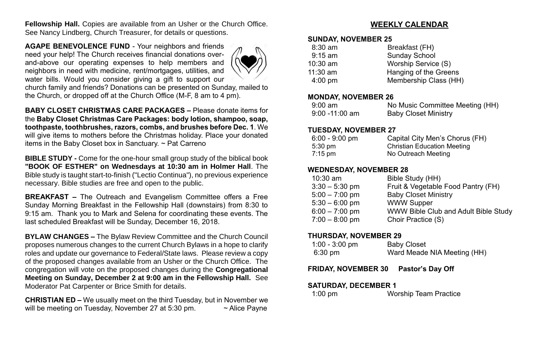**Fellowship Hall.** Copies are available from an Usher or the Church Office. See Nancy Lindberg, Church Treasurer, for details or questions.

**AGAPE BENEVOLENCE FUND** - Your neighbors and friends need your help! The Church receives financial donations overand-above our operating expenses to help members and neighbors in need with medicine, rent/mortgages, utilities, and water bills. Would you consider giving a gift to support our



church family and friends? Donations can be presented on Sunday, mailed to the Church, or dropped off at the Church Office (M-F, 8 am to 4 pm).

**BABY CLOSET CHRISTMAS CARE PACKAGES –** Please donate items for the **Baby Closet Christmas Care Packages: body lotion, shampoo, soap, toothpaste, toothbrushes, razors, combs, and brushes before Dec. 1**. We will give items to mothers before the Christmas holiday. Place your donated items in the Baby Closet box in Sanctuary. ~ Pat Carreno

**BIBLE STUDY -** Come for the one-hour small group study of the biblical book **"BOOK OF ESTHER" on Wednesdays at 10:30 am in Holmer Hall**. The Bible study is taught start-to-finish ("Lectio Continua"), no previous experience necessary. Bible studies are free and open to the public.

**BREAKFAST –** The Outreach and Evangelism Committee offers a Free Sunday Morning Breakfast in the Fellowship Hall (downstairs) from 8:30 to 9:15 am. Thank you to Mark and Selena for coordinating these events. The last scheduled Breakfast will be Sunday, December 16, 2018.

**BYLAW CHANGES –** The Bylaw Review Committee and the Church Council proposes numerous changes to the current Church Bylaws in a hope to clarify roles and update our governance to Federal/State laws. Please review a copy of the proposed changes available from an Usher or the Church Office. The congregation will vote on the proposed changes during the **Congregational Meeting on Sunday, December 2 at 9:00 am in the Fellowship Hall.** See Moderator Pat Carpenter or Brice Smith for details.

**CHRISTIAN ED –** We usually meet on the third Tuesday, but in November we will be meeting on Tuesday, November 27 at 5:30 pm.  $\sim$  Alice Payne

### **WEEKLY CALENDAR**

#### **SUNDAY, NOVEMBER 25**

| $8:30$ am         | Breakfast (FH)        |
|-------------------|-----------------------|
| $9:15$ am         | <b>Sunday School</b>  |
| $10:30$ am        | Worship Service (S)   |
| $11:30$ am        | Hanging of the Greens |
| $4:00 \text{ pm}$ | Membership Class (HH) |
|                   |                       |

#### **MONDAY, NOVEMBER 26**

| 9:00 am           | No Music Committee Meeting (HH) |
|-------------------|---------------------------------|
| $9:00 - 11:00$ am | <b>Baby Closet Ministry</b>     |

#### **TUESDAY, NOVEMBER 27**

| $6:00 - 9:00$ pm  | Capital City Men's Chorus (FH)     |
|-------------------|------------------------------------|
| $5:30 \text{ pm}$ | <b>Christian Education Meeting</b> |
| $7:15$ pm         | No Outreach Meeting                |

#### **WEDNESDAY, NOVEMBER 28**

| $10:30$ am       | Bible Study (HH)                            |
|------------------|---------------------------------------------|
| $3:30 - 5:30$ pm | Fruit & Vegetable Food Pantry (FH)          |
| $5:00 - 7:00$ pm | <b>Baby Closet Ministry</b>                 |
| $5:30 - 6:00$ pm | <b>WWW Supper</b>                           |
| $6:00 - 7:00$ pm | <b>WWW Bible Club and Adult Bible Study</b> |
| $7:00 - 8:00$ pm | Choir Practice (S)                          |

#### **THURSDAY, NOVEMBER 29**

| $1:00 - 3:00$ pm  | <b>Baby Closet</b>          |
|-------------------|-----------------------------|
| $6:30 \text{ pm}$ | Ward Meade NIA Meeting (HH) |

#### **FRIDAY, NOVEMBER 30 Pastor's Day Off**

#### **SATURDAY, DECEMBER 1**

1:00 pm Worship Team Practice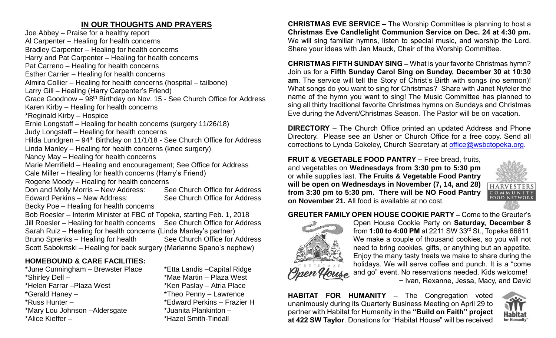# **IN OUR THOUGHTS AND PRAYERS**

Joe Abbey – Praise for a healthy report Al Carpenter – Healing for health concerns Bradley Carpenter – Healing for health concerns Harry and Pat Carpenter – Healing for health concerns Pat Carreno – Healing for health concerns Esther Carrier – Healing for health concerns Almira Collier – Healing for health concerns (hospital – tailbone) Larry Gill – Healing (Harry Carpenter's Friend) Grace Goodnow – 98th Birthday on Nov. 15 - See Church Office for Address Karen Kirby – Healing for health concerns \*Reginald Kirby – Hospice Ernie Longstaff – Healing for health concerns (surgery 11/26/18) Judy Longstaff – Healing for health concerns Hilda Lundgren –  $94<sup>th</sup>$  Birthday on 11/1/18 - See Church Office for Address Linda Manley – Healing for health concerns (knee surgery) Nancy May – Healing for health concerns Marie Merrifield – Healing and encouragement; See Office for Address Cale Miller – Healing for health concerns (Harry's Friend) Rogene Moody – Healing for health concerns Don and Molly Morris – New Address: See Church Office for Address Edward Perkins – New Address: See Church Office for Address Becky Poe – Healing for health concerns Bob Roesler – Interim Minister at FBC of Topeka, starting Feb. 1, 2018 Jill Roesler – Healing for health concerns See Church Office for Address Sarah Ruiz – Healing for health concerns (Linda Manley's partner) Bruno Sprenks – Healing for health See Church Office for Address Scott Sabokrtski – Healing for back surgery (Marianne Spano's nephew)

## **HOMEBOUND & CARE FACILITIES:**

\*Shirley Dell – \*Mae Martin – Plaza West \*Helen Farrar – Plaza West \*Ken Paslay – Atria Place \*Gerald Haney – \*Theo Penny – Lawrence \*Russ Hunter – \*Edward Perkins – Frazier H \*Mary Lou Johnson –Aldersgate \*Juanita Plankinton – \*Alice Kieffer – \*Hazel Smith-Tindall

\*June Cunningham – Brewster Place \*Etta Landis –Capital Ridge

**CHRISTMAS EVE SERVICE –** The Worship Committee is planning to host a **Christmas Eve Candlelight Communion Service on Dec. 24 at 4:30 pm.**  We will sing familiar hymns, listen to special music, and worship the Lord. Share your ideas with Jan Mauck, Chair of the Worship Committee.

**CHRISTMAS FIFTH SUNDAY SING –** What is your favorite Christmas hymn? Join us for a **Fifth Sunday Carol Sing on Sunday, December 30 at 10:30 am**. The service will tell the Story of Christ's Birth with songs (no sermon)! What songs do you want to sing for Christmas? Share with Janet Nyfeler the name of the hymn you want to sing! The Music Committee has planned to sing all thirty traditional favorite Christmas hymns on Sundays and Christmas Eve during the Advent/Christmas Season. The Pastor will be on vacation.

**DIRECTORY** – The Church Office printed an updated Address and Phone Directory. Please see an Usher or Church Office for a free copy. Send all corrections to Lynda Cokeley, Church Secretary at [office@wsbctopeka.org.](mailto:office@wsbctopeka.org)

**FRUIT & VEGETABLE FOOD PANTRY –** Free bread, fruits, and vegetables on **Wednesdays from 3:30 pm to 5:30 pm**  or while supplies last. **The Fruits & Vegetable Food Pantry will be open on Wednesdays in November (7, 14, and 28) from 3:30 pm to 5:30 pm. There will be NO Food Pantry on November 21.** All food is available at no cost.



**FOOD NETWOR** 

#### **GREUTER FAMILY OPEN HOUSE COOKIE PARTY –** Come to the Greuter's



Open House Cookie Party on **Saturday, December 8**  from **1:00 to 4:00 PM** at 2211 SW 33rd St., Topeka 66611. We make a couple of thousand cookies, so you will not need to bring cookies, gifts, or anything but an appetite. Enjoy the many tasty treats we make to share during the holidays. We will serve coffee and punch. It is a "come and go" event. No reservations needed. Kids welcome! ~ Ivan, Rexanne, Jessa, Macy, and David

**HABITAT FOR HUMANITY –** The Congregation voted unanimously during its Quarterly Business Meeting on April 29 to partner with Habitat for Humanity in the **"Build on Faith" project at 422 SW Taylor**. Donations for "Habitat House" will be received